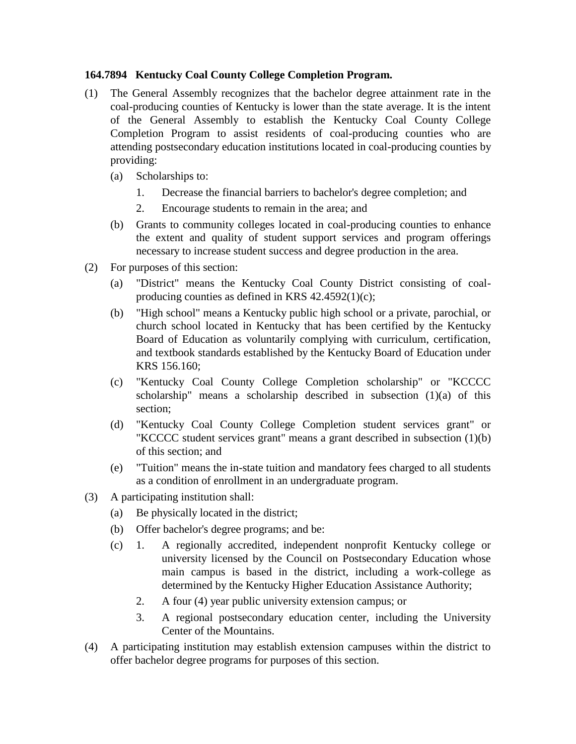## **164.7894 Kentucky Coal County College Completion Program.**

- (1) The General Assembly recognizes that the bachelor degree attainment rate in the coal-producing counties of Kentucky is lower than the state average. It is the intent of the General Assembly to establish the Kentucky Coal County College Completion Program to assist residents of coal-producing counties who are attending postsecondary education institutions located in coal-producing counties by providing:
	- (a) Scholarships to:
		- 1. Decrease the financial barriers to bachelor's degree completion; and
		- 2. Encourage students to remain in the area; and
	- (b) Grants to community colleges located in coal-producing counties to enhance the extent and quality of student support services and program offerings necessary to increase student success and degree production in the area.
- (2) For purposes of this section:
	- (a) "District" means the Kentucky Coal County District consisting of coalproducing counties as defined in KRS 42.4592(1)(c);
	- (b) "High school" means a Kentucky public high school or a private, parochial, or church school located in Kentucky that has been certified by the Kentucky Board of Education as voluntarily complying with curriculum, certification, and textbook standards established by the Kentucky Board of Education under KRS 156.160;
	- (c) "Kentucky Coal County College Completion scholarship" or "KCCCC scholarship" means a scholarship described in subsection (1)(a) of this section;
	- (d) "Kentucky Coal County College Completion student services grant" or "KCCCC student services grant" means a grant described in subsection (1)(b) of this section; and
	- (e) "Tuition" means the in-state tuition and mandatory fees charged to all students as a condition of enrollment in an undergraduate program.
- (3) A participating institution shall:
	- (a) Be physically located in the district;
	- (b) Offer bachelor's degree programs; and be:
	- (c) 1. A regionally accredited, independent nonprofit Kentucky college or university licensed by the Council on Postsecondary Education whose main campus is based in the district, including a work-college as determined by the Kentucky Higher Education Assistance Authority;
		- 2. A four (4) year public university extension campus; or
		- 3. A regional postsecondary education center, including the University Center of the Mountains.
- (4) A participating institution may establish extension campuses within the district to offer bachelor degree programs for purposes of this section.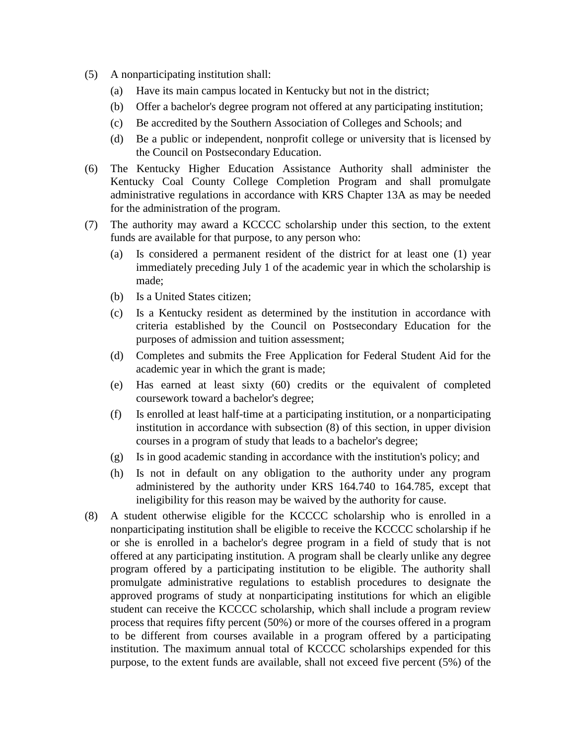- (5) A nonparticipating institution shall:
	- (a) Have its main campus located in Kentucky but not in the district;
	- (b) Offer a bachelor's degree program not offered at any participating institution;
	- (c) Be accredited by the Southern Association of Colleges and Schools; and
	- (d) Be a public or independent, nonprofit college or university that is licensed by the Council on Postsecondary Education.
- (6) The Kentucky Higher Education Assistance Authority shall administer the Kentucky Coal County College Completion Program and shall promulgate administrative regulations in accordance with KRS Chapter 13A as may be needed for the administration of the program.
- (7) The authority may award a KCCCC scholarship under this section, to the extent funds are available for that purpose, to any person who:
	- (a) Is considered a permanent resident of the district for at least one (1) year immediately preceding July 1 of the academic year in which the scholarship is made;
	- (b) Is a United States citizen;
	- (c) Is a Kentucky resident as determined by the institution in accordance with criteria established by the Council on Postsecondary Education for the purposes of admission and tuition assessment;
	- (d) Completes and submits the Free Application for Federal Student Aid for the academic year in which the grant is made;
	- (e) Has earned at least sixty (60) credits or the equivalent of completed coursework toward a bachelor's degree;
	- (f) Is enrolled at least half-time at a participating institution, or a nonparticipating institution in accordance with subsection (8) of this section, in upper division courses in a program of study that leads to a bachelor's degree;
	- (g) Is in good academic standing in accordance with the institution's policy; and
	- (h) Is not in default on any obligation to the authority under any program administered by the authority under KRS 164.740 to 164.785, except that ineligibility for this reason may be waived by the authority for cause.
- (8) A student otherwise eligible for the KCCCC scholarship who is enrolled in a nonparticipating institution shall be eligible to receive the KCCCC scholarship if he or she is enrolled in a bachelor's degree program in a field of study that is not offered at any participating institution. A program shall be clearly unlike any degree program offered by a participating institution to be eligible. The authority shall promulgate administrative regulations to establish procedures to designate the approved programs of study at nonparticipating institutions for which an eligible student can receive the KCCCC scholarship, which shall include a program review process that requires fifty percent (50%) or more of the courses offered in a program to be different from courses available in a program offered by a participating institution. The maximum annual total of KCCCC scholarships expended for this purpose, to the extent funds are available, shall not exceed five percent (5%) of the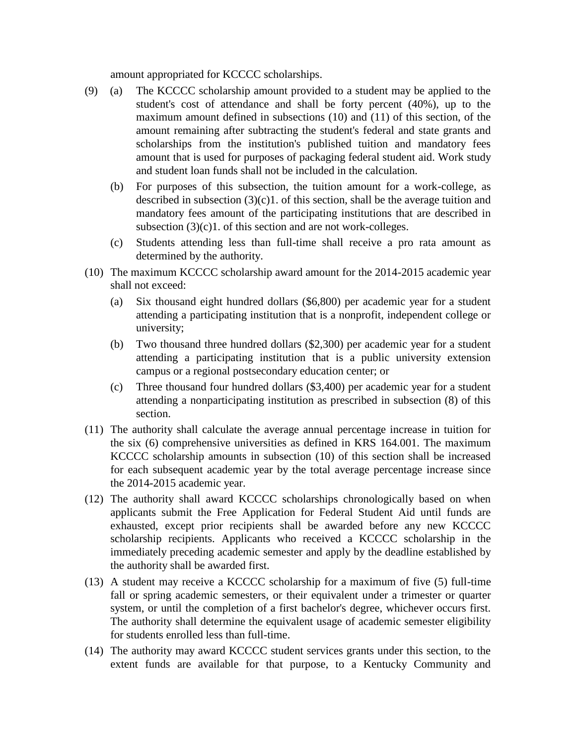amount appropriated for KCCCC scholarships.

- (9) (a) The KCCCC scholarship amount provided to a student may be applied to the student's cost of attendance and shall be forty percent (40%), up to the maximum amount defined in subsections (10) and (11) of this section, of the amount remaining after subtracting the student's federal and state grants and scholarships from the institution's published tuition and mandatory fees amount that is used for purposes of packaging federal student aid. Work study and student loan funds shall not be included in the calculation.
	- (b) For purposes of this subsection, the tuition amount for a work-college, as described in subsection  $(3)(c)1$ . of this section, shall be the average tuition and mandatory fees amount of the participating institutions that are described in subsection (3)(c)1. of this section and are not work-colleges.
	- (c) Students attending less than full-time shall receive a pro rata amount as determined by the authority.
- (10) The maximum KCCCC scholarship award amount for the 2014-2015 academic year shall not exceed:
	- (a) Six thousand eight hundred dollars (\$6,800) per academic year for a student attending a participating institution that is a nonprofit, independent college or university;
	- (b) Two thousand three hundred dollars (\$2,300) per academic year for a student attending a participating institution that is a public university extension campus or a regional postsecondary education center; or
	- (c) Three thousand four hundred dollars (\$3,400) per academic year for a student attending a nonparticipating institution as prescribed in subsection (8) of this section.
- (11) The authority shall calculate the average annual percentage increase in tuition for the six (6) comprehensive universities as defined in KRS 164.001. The maximum KCCCC scholarship amounts in subsection (10) of this section shall be increased for each subsequent academic year by the total average percentage increase since the 2014-2015 academic year.
- (12) The authority shall award KCCCC scholarships chronologically based on when applicants submit the Free Application for Federal Student Aid until funds are exhausted, except prior recipients shall be awarded before any new KCCCC scholarship recipients. Applicants who received a KCCCC scholarship in the immediately preceding academic semester and apply by the deadline established by the authority shall be awarded first.
- (13) A student may receive a KCCCC scholarship for a maximum of five (5) full-time fall or spring academic semesters, or their equivalent under a trimester or quarter system, or until the completion of a first bachelor's degree, whichever occurs first. The authority shall determine the equivalent usage of academic semester eligibility for students enrolled less than full-time.
- (14) The authority may award KCCCC student services grants under this section, to the extent funds are available for that purpose, to a Kentucky Community and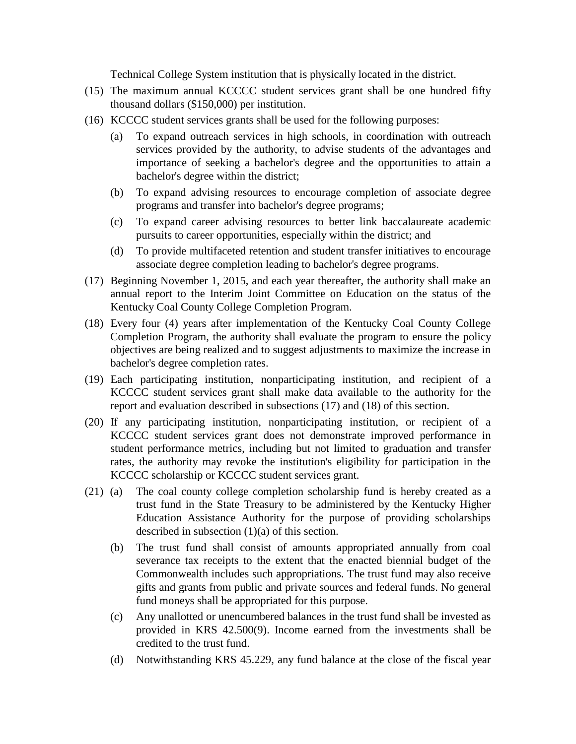Technical College System institution that is physically located in the district.

- (15) The maximum annual KCCCC student services grant shall be one hundred fifty thousand dollars (\$150,000) per institution.
- (16) KCCCC student services grants shall be used for the following purposes:
	- (a) To expand outreach services in high schools, in coordination with outreach services provided by the authority, to advise students of the advantages and importance of seeking a bachelor's degree and the opportunities to attain a bachelor's degree within the district;
	- (b) To expand advising resources to encourage completion of associate degree programs and transfer into bachelor's degree programs;
	- (c) To expand career advising resources to better link baccalaureate academic pursuits to career opportunities, especially within the district; and
	- (d) To provide multifaceted retention and student transfer initiatives to encourage associate degree completion leading to bachelor's degree programs.
- (17) Beginning November 1, 2015, and each year thereafter, the authority shall make an annual report to the Interim Joint Committee on Education on the status of the Kentucky Coal County College Completion Program.
- (18) Every four (4) years after implementation of the Kentucky Coal County College Completion Program, the authority shall evaluate the program to ensure the policy objectives are being realized and to suggest adjustments to maximize the increase in bachelor's degree completion rates.
- (19) Each participating institution, nonparticipating institution, and recipient of a KCCCC student services grant shall make data available to the authority for the report and evaluation described in subsections (17) and (18) of this section.
- (20) If any participating institution, nonparticipating institution, or recipient of a KCCCC student services grant does not demonstrate improved performance in student performance metrics, including but not limited to graduation and transfer rates, the authority may revoke the institution's eligibility for participation in the KCCCC scholarship or KCCCC student services grant.
- (21) (a) The coal county college completion scholarship fund is hereby created as a trust fund in the State Treasury to be administered by the Kentucky Higher Education Assistance Authority for the purpose of providing scholarships described in subsection (1)(a) of this section.
	- (b) The trust fund shall consist of amounts appropriated annually from coal severance tax receipts to the extent that the enacted biennial budget of the Commonwealth includes such appropriations. The trust fund may also receive gifts and grants from public and private sources and federal funds. No general fund moneys shall be appropriated for this purpose.
	- (c) Any unallotted or unencumbered balances in the trust fund shall be invested as provided in KRS 42.500(9). Income earned from the investments shall be credited to the trust fund.
	- (d) Notwithstanding KRS 45.229, any fund balance at the close of the fiscal year